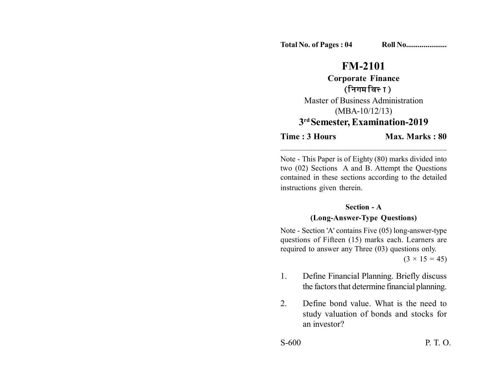## **FM-2101**

**Corporate Finance** (निगम वित्त)

Master of Business Administration (MBA-10/12/13) **3rd Semester, Examination-2019**

**Time : 3 Hours Max. Marks : 80** 

Note - This Paper is of Eighty (80) marks divided into two (02) Sections A and B. Attempt the Questions contained in these sections according to the detailed instructions given therein.

\_\_\_\_\_\_\_\_\_\_\_\_\_\_\_\_\_\_\_\_\_\_\_\_\_\_\_\_\_\_\_\_\_\_\_\_\_\_\_\_\_

## **Section - A**

## **(Long-Answer-Type Questions)**

Note - Section 'A' contains Five (05) long-answer-type questions of Fifteen (15) marks each. Learners are required to answer any Three (03) questions only.

 $(3 \times 15 = 45)$ 

- 1. Define Financial Planning. Briefly discuss the factors that determine financial planning.
- 2. Define bond value. What is the need to study valuation of bonds and stocks for an investor?

S-600 P. T. O.